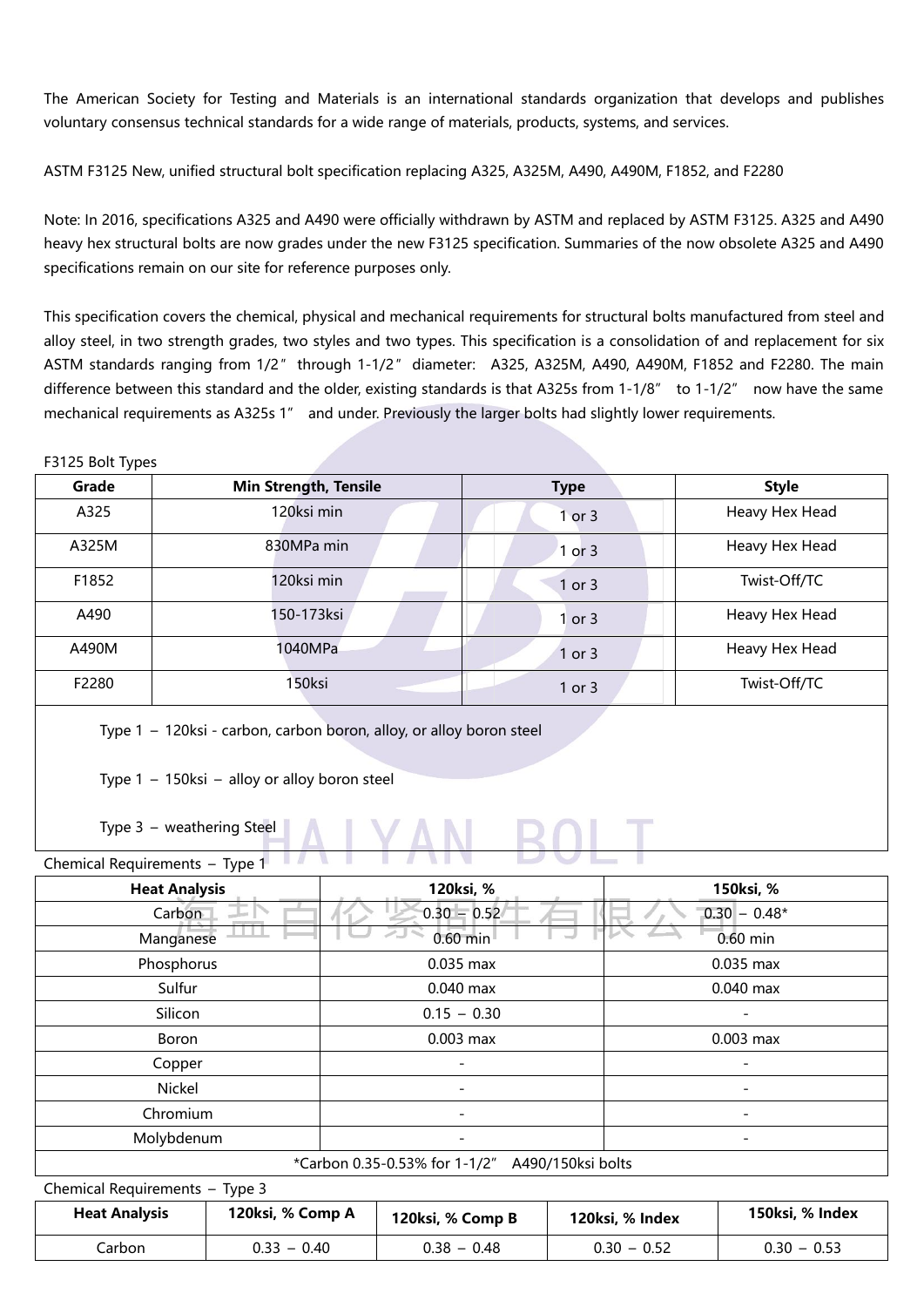The American Society for Testing and Materials is an international standards organization that develops and publishes voluntary consensus technical standards for a wide range of materials, products, systems, and services.

ASTM F3125 New, unified structural bolt specification replacing A325, A325M, A490, A490M, F1852, and F2280

Note: In 2016, specifications A325 and A490 were officially withdrawn by ASTM and replaced by ASTM F3125. A325 and A490 heavy hex structural bolts are now grades under the new F3125 specification. Summaries of the now obsolete A325 and A490 specifications remain on our site for reference purposes only.

This specification covers the chemical, physical and mechanical requirements for structural bolts manufactured from steel and alloy steel, in two strength grades, two styles and two types. This specification is a consolidation of and replacement for six ASTM standards ranging from 1/2″ through 1-1/2″ diameter: A325, A325M, A490, A490M, F1852 and F2280. The main difference between this standard and the older, existing standards is that A325s from 1-1/8" to 1-1/2" now have the same mechanical requirements as A325s 1" and under. Previously the larger bolts had slightly lower requirements.

## F3125 Bolt Types

| Grade | <b>Min Strength, Tensile</b> | <b>Type</b>     | <b>Style</b>   |
|-------|------------------------------|-----------------|----------------|
| A325  | 120ksi min                   | or <sub>3</sub> | Heavy Hex Head |
| A325M | 830MPa min                   | or 3            | Heavy Hex Head |
| F1852 | 120ksi min                   | 1 or 3          | Twist-Off/TC   |
| A490  | 150-173ksi                   | or <sub>3</sub> | Heavy Hex Head |
| A490M | 1040MPa                      | 1 or 3          | Heavy Hex Head |
| F2280 | 150ksi                       | 1 or 3          | Twist-Off/TC   |

Type 1 – 120ksi - carbon, carbon boron, alloy, or alloy boron steel

Type 1 – 150ksi – alloy or alloy boron steel

Type 3 – weathering Steel

| Chemical Requirements - Type 1                  | $\sim$<br>the property of the property of |                          |  |  |  |
|-------------------------------------------------|-------------------------------------------|--------------------------|--|--|--|
| <b>Heat Analysis</b>                            | 120ksi, %                                 | 150ksi, %                |  |  |  |
| Carbon                                          | $0.30 - 0.52$                             | $0.30 - 0.48*$           |  |  |  |
| Manganese                                       | $0.60$ min                                | $0.60$ min               |  |  |  |
| Phosphorus                                      | 0.035 max                                 | 0.035 max                |  |  |  |
| Sulfur                                          | $0.040$ max                               | $0.040$ max              |  |  |  |
| Silicon                                         | $0.15 - 0.30$                             |                          |  |  |  |
| Boron                                           | $0.003$ max                               | 0.003 max                |  |  |  |
| Copper                                          | -                                         | $\overline{\phantom{a}}$ |  |  |  |
| Nickel                                          | $\overline{\phantom{0}}$                  | $\overline{\phantom{a}}$ |  |  |  |
| Chromium                                        | $\overline{\phantom{0}}$                  | $\overline{\phantom{a}}$ |  |  |  |
| Molybdenum                                      | $\overline{\phantom{0}}$                  | $\overline{\phantom{a}}$ |  |  |  |
| *Carbon 0.35-0.53% for 1-1/2" A490/150ksi bolts |                                           |                          |  |  |  |

| Chemical Requirements - Type 3 |                  |                  |                 |                 |  |  |
|--------------------------------|------------------|------------------|-----------------|-----------------|--|--|
| <b>Heat Analysis</b>           | 120ksi, % Comp A | 120ksi, % Comp B | 120ksi, % Index | 150ksi, % Index |  |  |
| Carbon                         | $0.33 - 0.40$    | $0.38 - 0.48$    | $0.30 - 0.52$   | $0.30 - 0.53$   |  |  |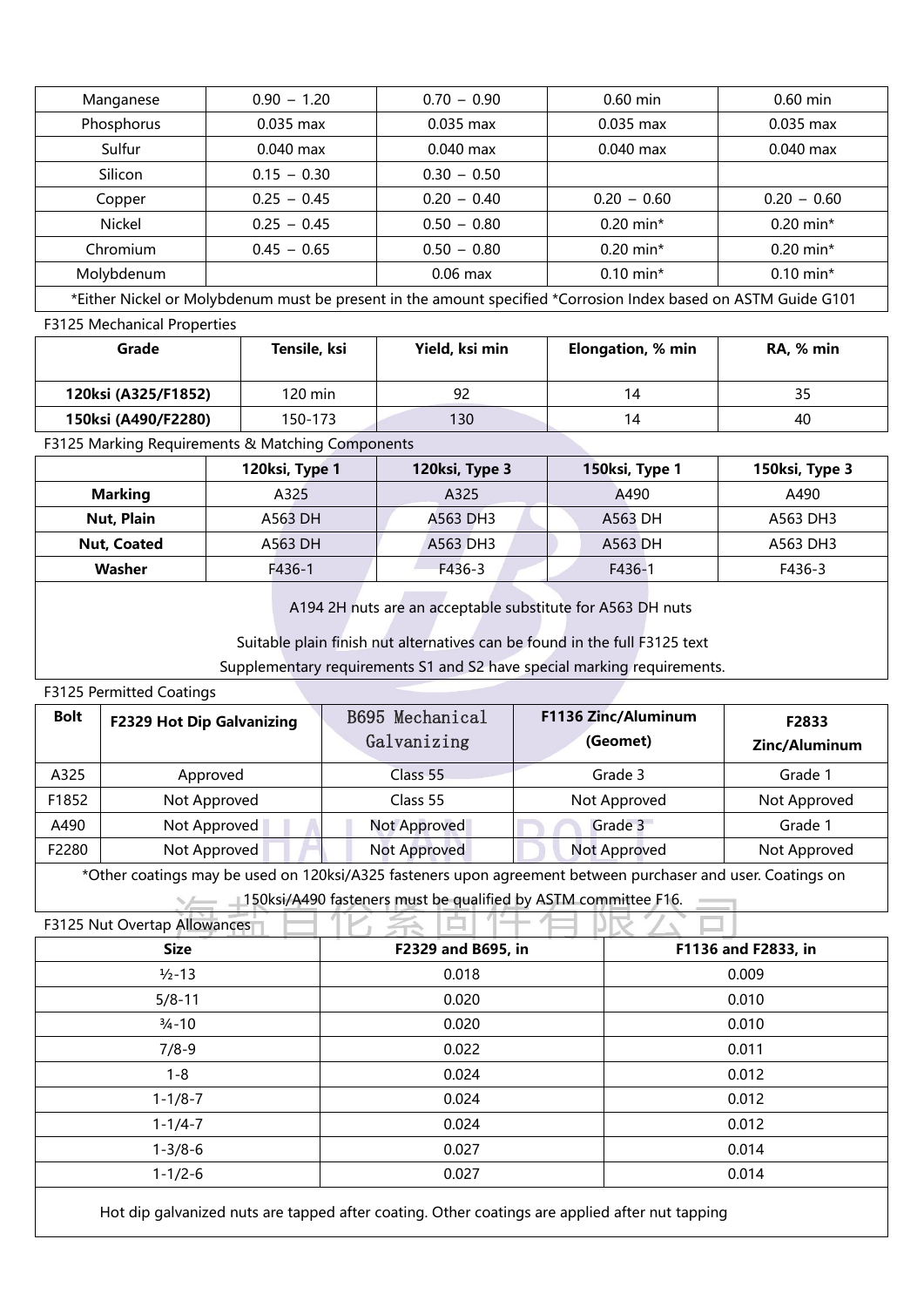| Manganese  | $0.90 - 1.20$ | $0.70 - 0.90$                                                                                                               | $0.60$ min              | $0.60$ min    |
|------------|---------------|-----------------------------------------------------------------------------------------------------------------------------|-------------------------|---------------|
| Phosphorus | $0.035$ max   | $0.035$ max                                                                                                                 | $0.035$ max             | $0.035$ max   |
| Sulfur     | $0.040$ max   | $0.040$ max                                                                                                                 | $0.040$ max             | $0.040$ max   |
| Silicon    | $0.15 - 0.30$ | $0.30 - 0.50$                                                                                                               |                         |               |
| Copper     | $0.25 - 0.45$ | $0.20 - 0.40$                                                                                                               | $0.20 - 0.60$           | $0.20 - 0.60$ |
| Nickel     | $0.25 - 0.45$ | $0.50 - 0.80$                                                                                                               | $0.20$ min <sup>*</sup> | $0.20$ min*   |
| Chromium   | $0.45 - 0.65$ | $0.50 - 0.80$                                                                                                               | $0.20$ min*             | $0.20$ min*   |
| Molybdenum |               | $0.06$ max                                                                                                                  | $0.10$ min <sup>*</sup> | $0.10$ min*   |
|            | .             | the contract of the contract of the contract of the contract of the contract of the contract of the contract of<br>$\cdots$ | .                       |               |

\*Either Nickel or Molybdenum must be present in the amount specified \*Corrosion Index based on ASTM Guide G101 F3125 Mechanical Properties

| Grade               | Tensile, ksi | Yield, ksi min | Elongation, % min | RA, % min |
|---------------------|--------------|----------------|-------------------|-----------|
| 120ksi (A325/F1852) | 120 min      | 92             | 14                | 35        |
| 150ksi (A490/F2280) | 150-173      | 130            | 14                | 40        |

F3125 Marking Requirements & Matching Components

|                | 120ksi, Type 1 | 120ksi, Type 3 | 150ksi, Type 1 | 150ksi, Type 3 |
|----------------|----------------|----------------|----------------|----------------|
| <b>Marking</b> | A325           | A325           | A490           | A490           |
| Nut, Plain     | A563 DH        | A563 DH3       | A563 DH        | A563 DH3       |
| Nut, Coated    | A563 DH        | A563 DH3       | A563 DH        | A563 DH3       |
| Washer         | F436-1         | F436-3         | F436-1         | F436-3         |

A194 2H nuts are an acceptable substitute for A563 DH nuts

Suitable plain finish nut alternatives can be found in the full F3125 text

Supplementary requirements S1 and S2 have special marking requirements.

## F3125 Permitted Coatings

| <b>Bolt</b> | <b>F2329 Hot Dip Galvanizing</b> | B695 Mechanical<br>Galvanizing | F1136 Zinc/Aluminum<br>(Geomet) | F2833<br>Zinc/Aluminum |
|-------------|----------------------------------|--------------------------------|---------------------------------|------------------------|
| A325        | Approved                         | Class 55                       | Grade 3                         | Grade 1                |
| F1852       | Not Approved                     | Class 55                       | Not Approved                    | Not Approved           |
| A490        | Not Approved                     | Not Approved                   | Grade 3                         | Grade 1                |
| F2280       | Not Approved                     | Not Approved                   | Not Approved                    | Not Approved           |

\*Other coatings may be used on 120ksi/A325 fasteners upon agreement between purchaser and user. Coatings on

150ksi/A490 fasteners must be qualified by ASTM committee F16.

| F3125 Nut Overtap Allowances |                    |                     |
|------------------------------|--------------------|---------------------|
| <b>Size</b>                  | F2329 and B695, in | F1136 and F2833, in |
| $1/2 - 13$                   | 0.018              | 0.009               |
| $5/8 - 11$                   | 0.020              | 0.010               |
| $\frac{3}{4} - 10$           | 0.020              | 0.010               |
| $7/8-9$                      | 0.022              | 0.011               |
| $1 - 8$                      | 0.024              | 0.012               |
| $1 - 1/8 - 7$                | 0.024              | 0.012               |
| $1 - 1/4 - 7$                | 0.024              | 0.012               |
| $1 - 3/8 - 6$                | 0.027              | 0.014               |
| $1 - 1/2 - 6$                | 0.027              | 0.014               |

Hot dip galvanized nuts are tapped after coating. Other coatings are applied after nut tapping